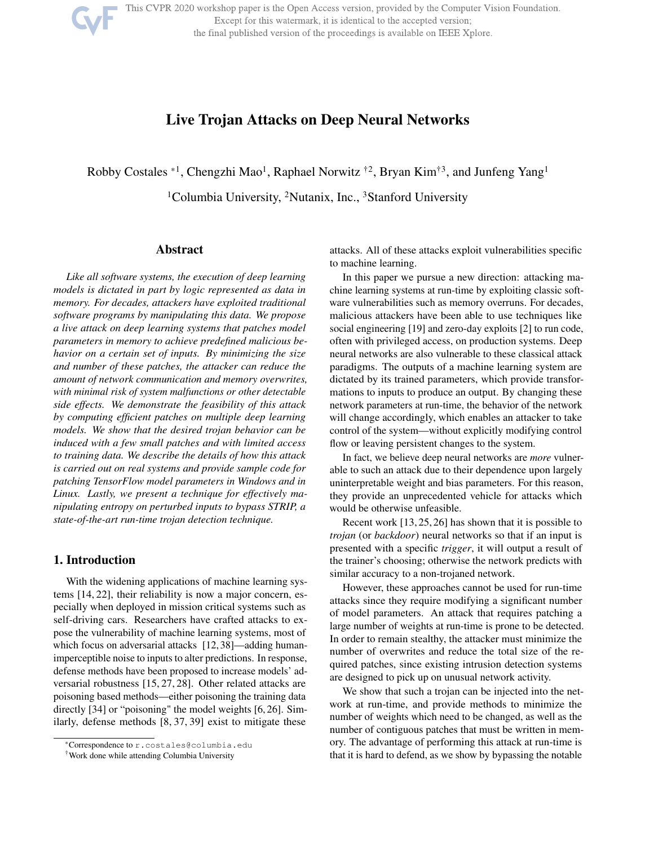This CVPR 2020 workshop paper is the Open Access version, provided by the Computer Vision Foundation.

Except for this watermark, it is identical to the accepted version;

the final published version of the proceedings is available on IEEE Xplore.

# Live Trojan Attacks on Deep Neural Networks

Robby Costales  $*1$ , Chengzhi Mao<sup>1</sup>, Raphael Norwitz  $\dagger^2$ , Bryan Kim $\dagger^3$ , and Junfeng Yang<sup>1</sup>

<sup>1</sup>Columbia University, <sup>2</sup>Nutanix, Inc., <sup>3</sup>Stanford University

## Abstract

*Like all software systems, the execution of deep learning models is dictated in part by logic represented as data in memory. For decades, attackers have exploited traditional software programs by manipulating this data. We propose a live attack on deep learning systems that patches model parameters in memory to achieve predefined malicious behavior on a certain set of inputs. By minimizing the size and number of these patches, the attacker can reduce the amount of network communication and memory overwrites, with minimal risk of system malfunctions or other detectable side effects. We demonstrate the feasibility of this attack by computing efficient patches on multiple deep learning models. We show that the desired trojan behavior can be induced with a few small patches and with limited access to training data. We describe the details of how this attack is carried out on real systems and provide sample code for patching TensorFlow model parameters in Windows and in Linux. Lastly, we present a technique for effectively manipulating entropy on perturbed inputs to bypass STRIP, a state-of-the-art run-time trojan detection technique.*

## 1. Introduction

With the widening applications of machine learning systems [14, 22], their reliability is now a major concern, especially when deployed in mission critical systems such as self-driving cars. Researchers have crafted attacks to expose the vulnerability of machine learning systems, most of which focus on adversarial attacks [12,38]—adding humanimperceptible noise to inputs to alter predictions. In response, defense methods have been proposed to increase models' adversarial robustness [15, 27, 28]. Other related attacks are poisoning based methods—either poisoning the training data directly [34] or "poisoning" the model weights [6, 26]. Similarly, defense methods [8, 37, 39] exist to mitigate these

attacks. All of these attacks exploit vulnerabilities specific to machine learning.

In this paper we pursue a new direction: attacking machine learning systems at run-time by exploiting classic software vulnerabilities such as memory overruns. For decades, malicious attackers have been able to use techniques like social engineering [19] and zero-day exploits [2] to run code, often with privileged access, on production systems. Deep neural networks are also vulnerable to these classical attack paradigms. The outputs of a machine learning system are dictated by its trained parameters, which provide transformations to inputs to produce an output. By changing these network parameters at run-time, the behavior of the network will change accordingly, which enables an attacker to take control of the system—without explicitly modifying control flow or leaving persistent changes to the system.

In fact, we believe deep neural networks are *more* vulnerable to such an attack due to their dependence upon largely uninterpretable weight and bias parameters. For this reason, they provide an unprecedented vehicle for attacks which would be otherwise unfeasible.

Recent work [13, 25, 26] has shown that it is possible to *trojan* (or *backdoor*) neural networks so that if an input is presented with a specific *trigger*, it will output a result of the trainer's choosing; otherwise the network predicts with similar accuracy to a non-trojaned network.

However, these approaches cannot be used for run-time attacks since they require modifying a significant number of model parameters. An attack that requires patching a large number of weights at run-time is prone to be detected. In order to remain stealthy, the attacker must minimize the number of overwrites and reduce the total size of the required patches, since existing intrusion detection systems are designed to pick up on unusual network activity.

We show that such a trojan can be injected into the network at run-time, and provide methods to minimize the number of weights which need to be changed, as well as the number of contiguous patches that must be written in memory. The advantage of performing this attack at run-time is that it is hard to defend, as we show by bypassing the notable

<sup>\*</sup>Correspondence to r.costales@columbia.edu

<sup>†</sup>Work done while attending Columbia University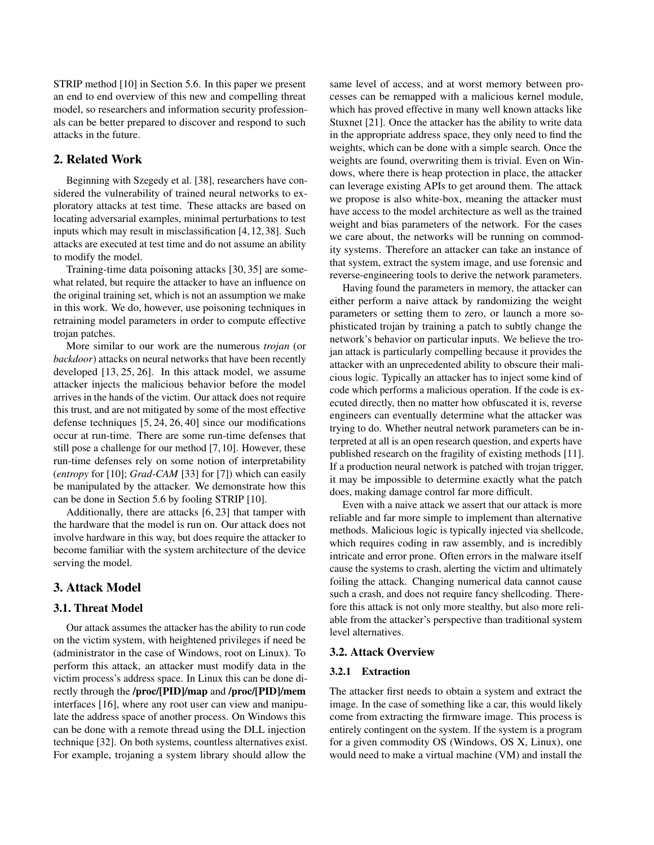STRIP method [10] in Section 5.6. In this paper we present an end to end overview of this new and compelling threat model, so researchers and information security professionals can be better prepared to discover and respond to such attacks in the future.

## 2. Related Work

Beginning with Szegedy et al. [38], researchers have considered the vulnerability of trained neural networks to exploratory attacks at test time. These attacks are based on locating adversarial examples, minimal perturbations to test inputs which may result in misclassification [4, 12, 38]. Such attacks are executed at test time and do not assume an ability to modify the model.

Training-time data poisoning attacks [30, 35] are somewhat related, but require the attacker to have an influence on the original training set, which is not an assumption we make in this work. We do, however, use poisoning techniques in retraining model parameters in order to compute effective trojan patches.

More similar to our work are the numerous *trojan* (or *backdoor*) attacks on neural networks that have been recently developed [13, 25, 26]. In this attack model, we assume attacker injects the malicious behavior before the model arrives in the hands of the victim. Our attack does not require this trust, and are not mitigated by some of the most effective defense techniques [5, 24, 26, 40] since our modifications occur at run-time. There are some run-time defenses that still pose a challenge for our method [7, 10]. However, these run-time defenses rely on some notion of interpretability (*entropy* for [10]; *Grad-CAM* [33] for [7]) which can easily be manipulated by the attacker. We demonstrate how this can be done in Section 5.6 by fooling STRIP [10].

Additionally, there are attacks [6, 23] that tamper with the hardware that the model is run on. Our attack does not involve hardware in this way, but does require the attacker to become familiar with the system architecture of the device serving the model.

## 3. Attack Model

#### 3.1. Threat Model

Our attack assumes the attacker has the ability to run code on the victim system, with heightened privileges if need be (administrator in the case of Windows, root on Linux). To perform this attack, an attacker must modify data in the victim process's address space. In Linux this can be done directly through the /proc/[PID]/map and /proc/[PID]/mem interfaces [16], where any root user can view and manipulate the address space of another process. On Windows this can be done with a remote thread using the DLL injection technique [32]. On both systems, countless alternatives exist. For example, trojaning a system library should allow the

same level of access, and at worst memory between processes can be remapped with a malicious kernel module, which has proved effective in many well known attacks like Stuxnet [21]. Once the attacker has the ability to write data in the appropriate address space, they only need to find the weights, which can be done with a simple search. Once the weights are found, overwriting them is trivial. Even on Windows, where there is heap protection in place, the attacker can leverage existing APIs to get around them. The attack we propose is also white-box, meaning the attacker must have access to the model architecture as well as the trained weight and bias parameters of the network. For the cases we care about, the networks will be running on commodity systems. Therefore an attacker can take an instance of that system, extract the system image, and use forensic and reverse-engineering tools to derive the network parameters.

Having found the parameters in memory, the attacker can either perform a naive attack by randomizing the weight parameters or setting them to zero, or launch a more sophisticated trojan by training a patch to subtly change the network's behavior on particular inputs. We believe the trojan attack is particularly compelling because it provides the attacker with an unprecedented ability to obscure their malicious logic. Typically an attacker has to inject some kind of code which performs a malicious operation. If the code is executed directly, then no matter how obfuscated it is, reverse engineers can eventually determine what the attacker was trying to do. Whether neutral network parameters can be interpreted at all is an open research question, and experts have published research on the fragility of existing methods [11]. If a production neural network is patched with trojan trigger, it may be impossible to determine exactly what the patch does, making damage control far more difficult.

Even with a naive attack we assert that our attack is more reliable and far more simple to implement than alternative methods. Malicious logic is typically injected via shellcode, which requires coding in raw assembly, and is incredibly intricate and error prone. Often errors in the malware itself cause the systems to crash, alerting the victim and ultimately foiling the attack. Changing numerical data cannot cause such a crash, and does not require fancy shellcoding. Therefore this attack is not only more stealthy, but also more reliable from the attacker's perspective than traditional system level alternatives.

### 3.2. Attack Overview

#### 3.2.1 Extraction

The attacker first needs to obtain a system and extract the image. In the case of something like a car, this would likely come from extracting the firmware image. This process is entirely contingent on the system. If the system is a program for a given commodity OS (Windows, OS X, Linux), one would need to make a virtual machine (VM) and install the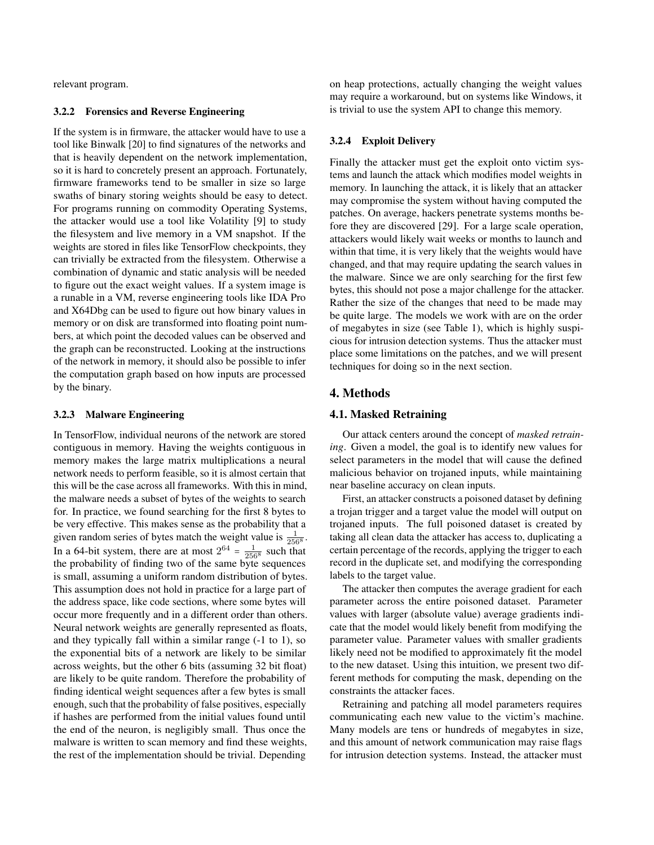relevant program.

### 3.2.2 Forensics and Reverse Engineering

If the system is in firmware, the attacker would have to use a tool like Binwalk [20] to find signatures of the networks and that is heavily dependent on the network implementation, so it is hard to concretely present an approach. Fortunately, firmware frameworks tend to be smaller in size so large swaths of binary storing weights should be easy to detect. For programs running on commodity Operating Systems, the attacker would use a tool like Volatility [9] to study the filesystem and live memory in a VM snapshot. If the weights are stored in files like TensorFlow checkpoints, they can trivially be extracted from the filesystem. Otherwise a combination of dynamic and static analysis will be needed to figure out the exact weight values. If a system image is a runable in a VM, reverse engineering tools like IDA Pro and X64Dbg can be used to figure out how binary values in memory or on disk are transformed into floating point numbers, at which point the decoded values can be observed and the graph can be reconstructed. Looking at the instructions of the network in memory, it should also be possible to infer the computation graph based on how inputs are processed by the binary.

### 3.2.3 Malware Engineering

In TensorFlow, individual neurons of the network are stored contiguous in memory. Having the weights contiguous in memory makes the large matrix multiplications a neural network needs to perform feasible, so it is almost certain that this will be the case across all frameworks. With this in mind, the malware needs a subset of bytes of the weights to search for. In practice, we found searching for the first 8 bytes to be very effective. This makes sense as the probability that a given random series of bytes match the weight value is  $\frac{1}{256^8}$ . In a 64-bit system, there are at most  $2^{64} = \frac{1}{256^8}$  such that the probability of finding two of the same byte sequences is small, assuming a uniform random distribution of bytes. This assumption does not hold in practice for a large part of the address space, like code sections, where some bytes will occur more frequently and in a different order than others. Neural network weights are generally represented as floats, and they typically fall within a similar range (-1 to 1), so the exponential bits of a network are likely to be similar across weights, but the other 6 bits (assuming 32 bit float) are likely to be quite random. Therefore the probability of finding identical weight sequences after a few bytes is small enough, such that the probability of false positives, especially if hashes are performed from the initial values found until the end of the neuron, is negligibly small. Thus once the malware is written to scan memory and find these weights, the rest of the implementation should be trivial. Depending

on heap protections, actually changing the weight values may require a workaround, but on systems like Windows, it is trivial to use the system API to change this memory.

#### 3.2.4 Exploit Delivery

Finally the attacker must get the exploit onto victim systems and launch the attack which modifies model weights in memory. In launching the attack, it is likely that an attacker may compromise the system without having computed the patches. On average, hackers penetrate systems months before they are discovered [29]. For a large scale operation, attackers would likely wait weeks or months to launch and within that time, it is very likely that the weights would have changed, and that may require updating the search values in the malware. Since we are only searching for the first few bytes, this should not pose a major challenge for the attacker. Rather the size of the changes that need to be made may be quite large. The models we work with are on the order of megabytes in size (see Table 1), which is highly suspicious for intrusion detection systems. Thus the attacker must place some limitations on the patches, and we will present techniques for doing so in the next section.

### 4. Methods

#### 4.1. Masked Retraining

Our attack centers around the concept of *masked retraining*. Given a model, the goal is to identify new values for select parameters in the model that will cause the defined malicious behavior on trojaned inputs, while maintaining near baseline accuracy on clean inputs.

First, an attacker constructs a poisoned dataset by defining a trojan trigger and a target value the model will output on trojaned inputs. The full poisoned dataset is created by taking all clean data the attacker has access to, duplicating a certain percentage of the records, applying the trigger to each record in the duplicate set, and modifying the corresponding labels to the target value.

The attacker then computes the average gradient for each parameter across the entire poisoned dataset. Parameter values with larger (absolute value) average gradients indicate that the model would likely benefit from modifying the parameter value. Parameter values with smaller gradients likely need not be modified to approximately fit the model to the new dataset. Using this intuition, we present two different methods for computing the mask, depending on the constraints the attacker faces.

Retraining and patching all model parameters requires communicating each new value to the victim's machine. Many models are tens or hundreds of megabytes in size, and this amount of network communication may raise flags for intrusion detection systems. Instead, the attacker must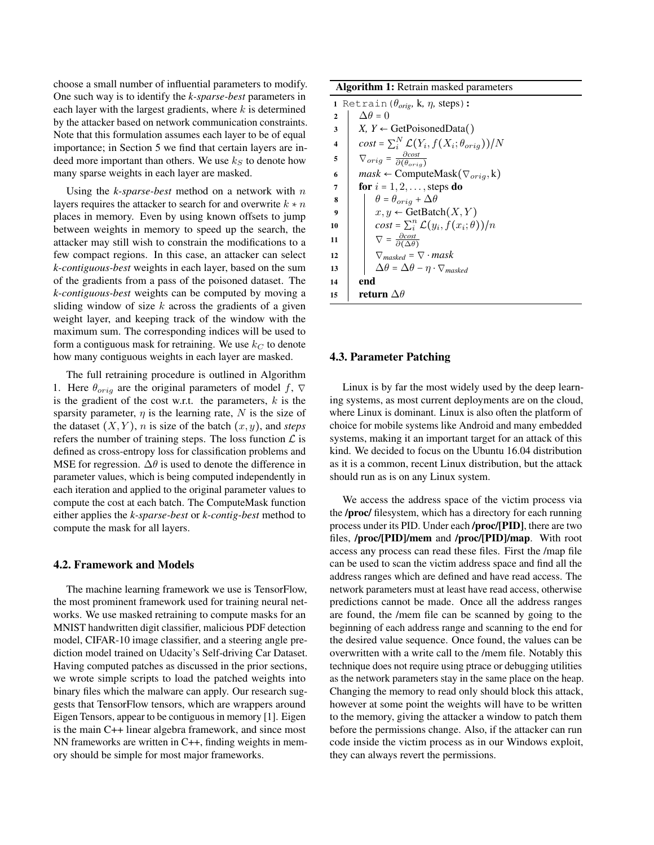choose a small number of influential parameters to modify. One such way is to identify the *k-sparse-best* parameters in each layer with the largest gradients, where  $k$  is determined by the attacker based on network communication constraints. Note that this formulation assumes each layer to be of equal importance; in Section 5 we find that certain layers are indeed more important than others. We use  $k<sub>S</sub>$  to denote how many sparse weights in each layer are masked.

Using the *k-sparse-best* method on a network with n layers requires the attacker to search for and overwrite  $k * n$ places in memory. Even by using known offsets to jump between weights in memory to speed up the search, the attacker may still wish to constrain the modifications to a few compact regions. In this case, an attacker can select *k-contiguous-best* weights in each layer, based on the sum of the gradients from a pass of the poisoned dataset. The *k-contiguous-best* weights can be computed by moving a sliding window of size  $k$  across the gradients of a given weight layer, and keeping track of the window with the maximum sum. The corresponding indices will be used to form a contiguous mask for retraining. We use  $k_C$  to denote how many contiguous weights in each layer are masked.

The full retraining procedure is outlined in Algorithm 1. Here  $\theta_{orig}$  are the original parameters of model f,  $\nabla$ is the gradient of the cost w.r.t. the parameters,  $k$  is the sparsity parameter,  $\eta$  is the learning rate, N is the size of the dataset  $(X, Y)$ , *n* is size of the batch  $(x, y)$ , and *steps* refers the number of training steps. The loss function  $\mathcal L$  is defined as cross-entropy loss for classification problems and MSE for regression.  $\Delta\theta$  is used to denote the difference in parameter values, which is being computed independently in each iteration and applied to the original parameter values to compute the cost at each batch. The ComputeMask function either applies the *k-sparse-best* or *k-contig-best* method to compute the mask for all layers.

### 4.2. Framework and Models

The machine learning framework we use is TensorFlow, the most prominent framework used for training neural networks. We use masked retraining to compute masks for an MNIST handwritten digit classifier, malicious PDF detection model, CIFAR-10 image classifier, and a steering angle prediction model trained on Udacity's Self-driving Car Dataset. Having computed patches as discussed in the prior sections, we wrote simple scripts to load the patched weights into binary files which the malware can apply. Our research suggests that TensorFlow tensors, which are wrappers around Eigen Tensors, appear to be contiguous in memory [1]. Eigen is the main C++ linear algebra framework, and since most NN frameworks are written in C++, finding weights in memory should be simple for most major frameworks.

Algorithm 1: Retrain masked parameters

1 Retrain( $\theta_{orig}$ , k,  $\eta$ , steps):  $\Delta \theta = 0$  $3 \mid X, Y \leftarrow \text{GetPoisonedData}()$  $\begin{array}{ll} \textbf{4} & cos t = \sum_i^N \mathcal{L}(Y_i, f(X_i; \theta_{orig}))/N \end{array}$  $\bigg| \nabla_{orig} = \frac{\partial cost}{\partial(\theta_{orig})}$ *mask* ← ComputeMask( $\nabla_{\text{orig}}(k)$ **for**  $i = 1, 2, \ldots$ , steps **do**  $\theta = \theta_{orig} + \Delta\theta$  $\vert x, y \leftarrow \text{GetBatch}(X, Y)$  $\cos t = \sum_{i}^{n} \mathcal{L}(y_i, f(x_i; \theta))/n$  $\qquad \nabla = \frac{\partial cost}{\partial (\Delta \theta)}$  $\bigcup_{\text{masked}} = \nabla \cdot \text{mask}$  $\vert \quad \vert \quad \Delta \theta = \Delta \theta - \eta \cdot \nabla_{\textit{masked}}$ 14 end **return**  $\Delta\theta$ 

#### 4.3. Parameter Patching

Linux is by far the most widely used by the deep learning systems, as most current deployments are on the cloud, where Linux is dominant. Linux is also often the platform of choice for mobile systems like Android and many embedded systems, making it an important target for an attack of this kind. We decided to focus on the Ubuntu 16.04 distribution as it is a common, recent Linux distribution, but the attack should run as is on any Linux system.

We access the address space of the victim process via the /proc/ filesystem, which has a directory for each running process under its PID. Under each /proc/[PID], there are two files, /proc/[PID]/mem and /proc/[PID]/map. With root access any process can read these files. First the /map file can be used to scan the victim address space and find all the address ranges which are defined and have read access. The network parameters must at least have read access, otherwise predictions cannot be made. Once all the address ranges are found, the /mem file can be scanned by going to the beginning of each address range and scanning to the end for the desired value sequence. Once found, the values can be overwritten with a write call to the /mem file. Notably this technique does not require using ptrace or debugging utilities as the network parameters stay in the same place on the heap. Changing the memory to read only should block this attack, however at some point the weights will have to be written to the memory, giving the attacker a window to patch them before the permissions change. Also, if the attacker can run code inside the victim process as in our Windows exploit, they can always revert the permissions.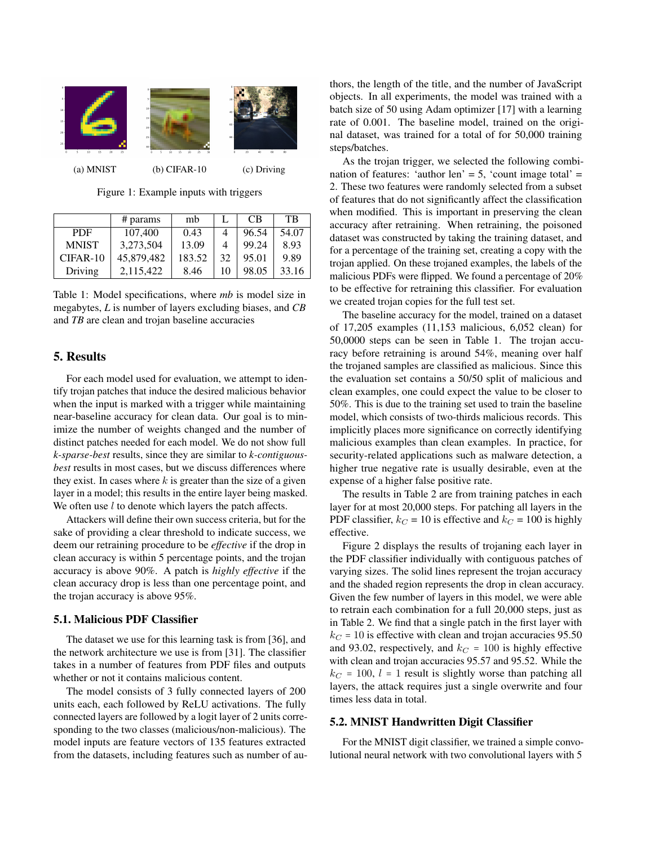

Figure 1: Example inputs with triggers

|              | # params   | mb     |    | C <sub>B</sub> | TB.   |
|--------------|------------|--------|----|----------------|-------|
| <b>PDF</b>   | 107,400    | 0.43   | 4  | 96.54          | 54.07 |
| <b>MNIST</b> | 3,273,504  | 13.09  | 4  | 99.24          | 8.93  |
| CIFAR-10     | 45,879,482 | 183.52 | 32 | 95.01          | 9.89  |
| Driving      | 2,115,422  | 8.46   | 10 | 98.05          | 33.16 |

Table 1: Model specifications, where *mb* is model size in megabytes, *L* is number of layers excluding biases, and *CB* and *TB* are clean and trojan baseline accuracies

## 5. Results

For each model used for evaluation, we attempt to identify trojan patches that induce the desired malicious behavior when the input is marked with a trigger while maintaining near-baseline accuracy for clean data. Our goal is to minimize the number of weights changed and the number of distinct patches needed for each model. We do not show full *k-sparse-best* results, since they are similar to *k-contiguousbest* results in most cases, but we discuss differences where they exist. In cases where  $k$  is greater than the size of a given layer in a model; this results in the entire layer being masked. We often use  $l$  to denote which layers the patch affects.

Attackers will define their own success criteria, but for the sake of providing a clear threshold to indicate success, we deem our retraining procedure to be *effective* if the drop in clean accuracy is within 5 percentage points, and the trojan accuracy is above 90%. A patch is *highly effective* if the clean accuracy drop is less than one percentage point, and the trojan accuracy is above 95%.

#### 5.1. Malicious PDF Classifier

The dataset we use for this learning task is from [36], and the network architecture we use is from [31]. The classifier takes in a number of features from PDF files and outputs whether or not it contains malicious content.

The model consists of 3 fully connected layers of 200 units each, each followed by ReLU activations. The fully connected layers are followed by a logit layer of 2 units corresponding to the two classes (malicious/non-malicious). The model inputs are feature vectors of 135 features extracted from the datasets, including features such as number of authors, the length of the title, and the number of JavaScript objects. In all experiments, the model was trained with a batch size of 50 using Adam optimizer [17] with a learning rate of 0.001. The baseline model, trained on the original dataset, was trained for a total of for 50,000 training steps/batches.

As the trojan trigger, we selected the following combination of features: 'author  $len' = 5$ , 'count image total' = 2. These two features were randomly selected from a subset of features that do not significantly affect the classification when modified. This is important in preserving the clean accuracy after retraining. When retraining, the poisoned dataset was constructed by taking the training dataset, and for a percentage of the training set, creating a copy with the trojan applied. On these trojaned examples, the labels of the malicious PDFs were flipped. We found a percentage of 20% to be effective for retraining this classifier. For evaluation we created trojan copies for the full test set.

The baseline accuracy for the model, trained on a dataset of 17,205 examples (11,153 malicious, 6,052 clean) for 50,0000 steps can be seen in Table 1. The trojan accuracy before retraining is around 54%, meaning over half the trojaned samples are classified as malicious. Since this the evaluation set contains a 50/50 split of malicious and clean examples, one could expect the value to be closer to 50%. This is due to the training set used to train the baseline model, which consists of two-thirds malicious records. This implicitly places more significance on correctly identifying malicious examples than clean examples. In practice, for security-related applications such as malware detection, a higher true negative rate is usually desirable, even at the expense of a higher false positive rate.

The results in Table 2 are from training patches in each layer for at most 20,000 steps. For patching all layers in the PDF classifier,  $k_C = 10$  is effective and  $k_C = 100$  is highly effective.

Figure 2 displays the results of trojaning each layer in the PDF classifier individually with contiguous patches of varying sizes. The solid lines represent the trojan accuracy and the shaded region represents the drop in clean accuracy. Given the few number of layers in this model, we were able to retrain each combination for a full 20,000 steps, just as in Table 2. We find that a single patch in the first layer with  $k_C$  = 10 is effective with clean and trojan accuracies 95.50 and 93.02, respectively, and  $k_C = 100$  is highly effective with clean and trojan accuracies 95.57 and 95.52. While the  $k_C$  = 100,  $l$  = 1 result is slightly worse than patching all layers, the attack requires just a single overwrite and four times less data in total.

## 5.2. MNIST Handwritten Digit Classifier

For the MNIST digit classifier, we trained a simple convolutional neural network with two convolutional layers with 5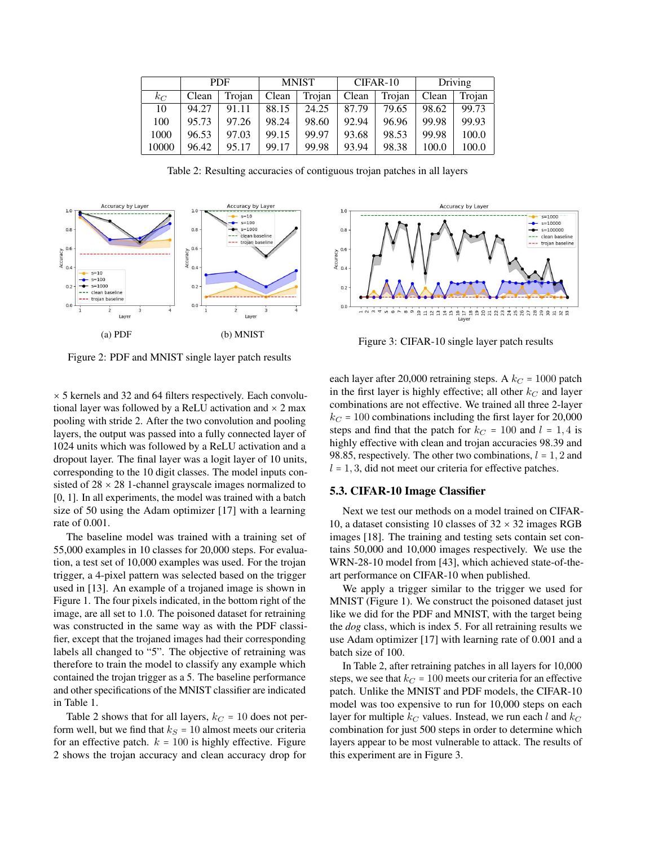|       | <b>PDF</b> |        | <b>MNIST</b> |        | CIFAR-10 |        | Driving |        |
|-------|------------|--------|--------------|--------|----------|--------|---------|--------|
| $k_C$ | Clean      | Trojan | Clean        | Trojan | Clean    | Trojan | Clean   | Trojan |
| 10    | 94.27      | 91.11  | 88.15        | 24.25  | 87.79    | 79.65  | 98.62   | 99.73  |
| 100   | 95.73      | 97.26  | 98.24        | 98.60  | 92.94    | 96.96  | 99.98   | 99.93  |
| 1000  | 96.53      | 97.03  | 99.15        | 99.97  | 93.68    | 98.53  | 99.98   | 100.0  |
| 10000 | 96.42      | 95.17  | 99.17        | 99.98  | 93.94    | 98.38  | 100.0   | 100.0  |

Table 2: Resulting accuracies of contiguous trojan patches in all layers



Figure 2: PDF and MNIST single layer patch results



Accuracy by Layer

Figure 3: CIFAR-10 single layer patch results

 $\times$  5 kernels and 32 and 64 filters respectively. Each convolutional layer was followed by a ReLU activation and  $\times$  2 max pooling with stride 2. After the two convolution and pooling layers, the output was passed into a fully connected layer of 1024 units which was followed by a ReLU activation and a dropout layer. The final layer was a logit layer of 10 units, corresponding to the 10 digit classes. The model inputs consisted of  $28 \times 28$  1-channel grayscale images normalized to [0, 1]. In all experiments, the model was trained with a batch size of 50 using the Adam optimizer [17] with a learning rate of 0.001.

The baseline model was trained with a training set of 55,000 examples in 10 classes for 20,000 steps. For evaluation, a test set of 10,000 examples was used. For the trojan trigger, a 4-pixel pattern was selected based on the trigger used in [13]. An example of a trojaned image is shown in Figure 1. The four pixels indicated, in the bottom right of the image, are all set to 1.0. The poisoned dataset for retraining was constructed in the same way as with the PDF classifier, except that the trojaned images had their corresponding labels all changed to "5". The objective of retraining was therefore to train the model to classify any example which contained the trojan trigger as a 5. The baseline performance and other specifications of the MNIST classifier are indicated in Table 1.

Table 2 shows that for all layers,  $k_C = 10$  does not perform well, but we find that  $k<sub>S</sub> = 10$  almost meets our criteria for an effective patch.  $k = 100$  is highly effective. Figure 2 shows the trojan accuracy and clean accuracy drop for

each layer after 20,000 retraining steps. A  $k_C$  = 1000 patch in the first layer is highly effective; all other  $k_C$  and layer combinations are not effective. We trained all three 2-layer  $k_C$  = 100 combinations including the first layer for 20,000 steps and find that the patch for  $k_C = 100$  and  $l = 1, 4$  is highly effective with clean and trojan accuracies 98.39 and 98.85, respectively. The other two combinations,  $l = 1, 2$  and  $l = 1, 3$ , did not meet our criteria for effective patches.

### 5.3. CIFAR-10 Image Classifier

Next we test our methods on a model trained on CIFAR-10, a dataset consisting 10 classes of  $32 \times 32$  images RGB images [18]. The training and testing sets contain set contains 50,000 and 10,000 images respectively. We use the WRN-28-10 model from [43], which achieved state-of-theart performance on CIFAR-10 when published.

We apply a trigger similar to the trigger we used for MNIST (Figure 1). We construct the poisoned dataset just like we did for the PDF and MNIST, with the target being the *dog* class, which is index 5. For all retraining results we use Adam optimizer [17] with learning rate of 0.001 and a batch size of 100.

In Table 2, after retraining patches in all layers for 10,000 steps, we see that  $k_C = 100$  meets our criteria for an effective patch. Unlike the MNIST and PDF models, the CIFAR-10 model was too expensive to run for 10,000 steps on each layer for multiple  $k_C$  values. Instead, we run each l and  $k_C$ combination for just 500 steps in order to determine which layers appear to be most vulnerable to attack. The results of this experiment are in Figure 3.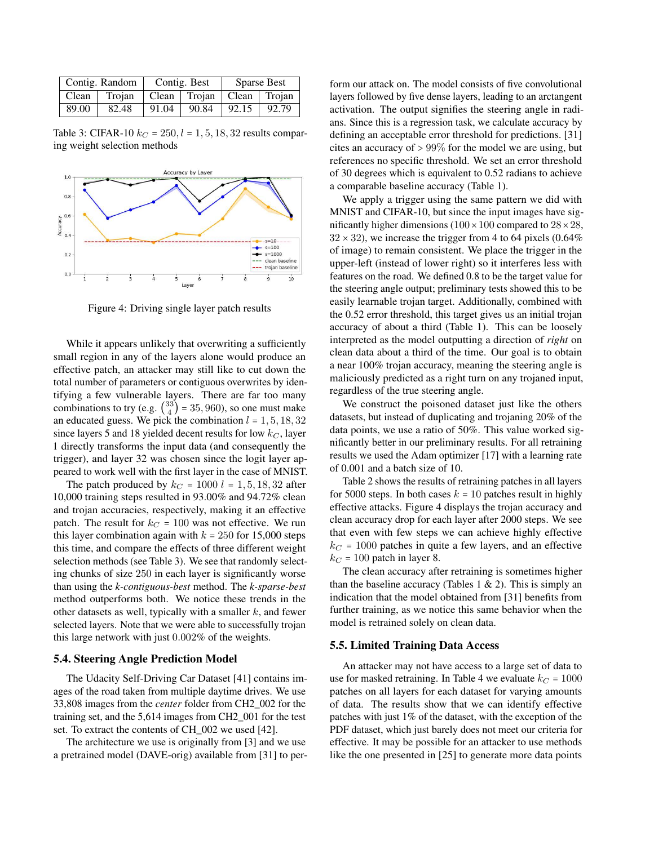| Contig. Random |                |       | Contig. Best                    | <b>Sparse Best</b> |        |  |
|----------------|----------------|-------|---------------------------------|--------------------|--------|--|
|                | Clean   Trojan |       | Clean   Trojan   Clean   Trojan |                    |        |  |
| 89.00          | 82.48          | 91.04 | 90.84                           | 92.15              | 192.79 |  |

Table 3: CIFAR-10  $k_C = 250, l = 1, 5, 18, 32$  results comparing weight selection methods



Figure 4: Driving single layer patch results

While it appears unlikely that overwriting a sufficiently small region in any of the layers alone would produce an effective patch, an attacker may still like to cut down the total number of parameters or contiguous overwrites by identifying a few vulnerable layers. There are far too many combinations to try (e.g.  $\binom{33}{4}$  $\binom{33}{4}$  = 35, 960), so one must make an educated guess. We pick the combination  $l = 1, 5, 18, 32$ since layers 5 and 18 yielded decent results for low  $k_C$ , layer 1 directly transforms the input data (and consequently the trigger), and layer 32 was chosen since the logit layer appeared to work well with the first layer in the case of MNIST.

The patch produced by  $k_C = 1000$  l = 1, 5, 18, 32 after 10,000 training steps resulted in 93.00% and 94.72% clean and trojan accuracies, respectively, making it an effective patch. The result for  $k_C = 100$  was not effective. We run this layer combination again with  $k = 250$  for 15,000 steps this time, and compare the effects of three different weight selection methods (see Table 3). We see that randomly selecting chunks of size 250 in each layer is significantly worse than using the *k-contiguous-best* method. The *k-sparse-best* method outperforms both. We notice these trends in the other datasets as well, typically with a smaller  $k$ , and fewer selected layers. Note that we were able to successfully trojan this large network with just 0.002% of the weights.

#### 5.4. Steering Angle Prediction Model

The Udacity Self-Driving Car Dataset [41] contains images of the road taken from multiple daytime drives. We use 33,808 images from the *center* folder from CH2\_002 for the training set, and the 5,614 images from CH2\_001 for the test set. To extract the contents of CH\_002 we used [42].

The architecture we use is originally from [3] and we use a pretrained model (DAVE-orig) available from [31] to perform our attack on. The model consists of five convolutional layers followed by five dense layers, leading to an arctangent activation. The output signifies the steering angle in radians. Since this is a regression task, we calculate accuracy by defining an acceptable error threshold for predictions. [31] cites an accuracy of  $> 99\%$  for the model we are using, but references no specific threshold. We set an error threshold of 30 degrees which is equivalent to 0.52 radians to achieve a comparable baseline accuracy (Table 1).

We apply a trigger using the same pattern we did with MNIST and CIFAR-10, but since the input images have significantly higher dimensions  $(100 \times 100)$  compared to  $28 \times 28$ ,  $32 \times 32$ ), we increase the trigger from 4 to 64 pixels (0.64%) of image) to remain consistent. We place the trigger in the upper-left (instead of lower right) so it interferes less with features on the road. We defined 0.8 to be the target value for the steering angle output; preliminary tests showed this to be easily learnable trojan target. Additionally, combined with the 0.52 error threshold, this target gives us an initial trojan accuracy of about a third (Table 1). This can be loosely interpreted as the model outputting a direction of *right* on clean data about a third of the time. Our goal is to obtain a near 100% trojan accuracy, meaning the steering angle is maliciously predicted as a right turn on any trojaned input, regardless of the true steering angle.

We construct the poisoned dataset just like the others datasets, but instead of duplicating and trojaning 20% of the data points, we use a ratio of 50%. This value worked significantly better in our preliminary results. For all retraining results we used the Adam optimizer [17] with a learning rate of 0.001 and a batch size of 10.

Table 2 shows the results of retraining patches in all layers for 5000 steps. In both cases  $k = 10$  patches result in highly effective attacks. Figure 4 displays the trojan accuracy and clean accuracy drop for each layer after 2000 steps. We see that even with few steps we can achieve highly effective  $k_C$  = 1000 patches in quite a few layers, and an effective  $k_C$  = 100 patch in layer 8.

The clean accuracy after retraining is sometimes higher than the baseline accuracy (Tables 1  $\&$  2). This is simply an indication that the model obtained from [31] benefits from further training, as we notice this same behavior when the model is retrained solely on clean data.

#### 5.5. Limited Training Data Access

An attacker may not have access to a large set of data to use for masked retraining. In Table 4 we evaluate  $k_C = 1000$ patches on all layers for each dataset for varying amounts of data. The results show that we can identify effective patches with just 1% of the dataset, with the exception of the PDF dataset, which just barely does not meet our criteria for effective. It may be possible for an attacker to use methods like the one presented in [25] to generate more data points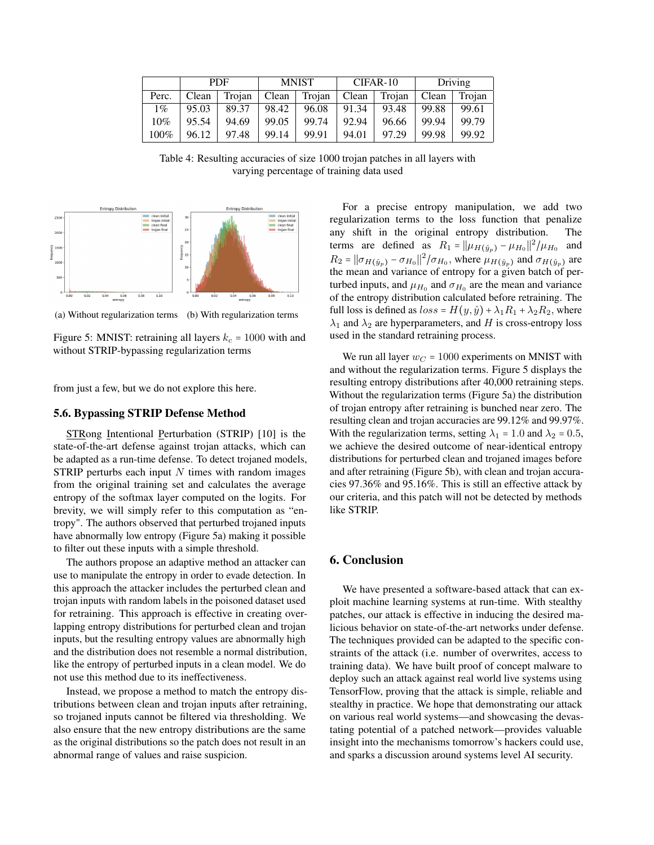|       | <b>PDF</b> |        | <b>MNIST</b> |        | CIFAR-10 |        | Driving |        |
|-------|------------|--------|--------------|--------|----------|--------|---------|--------|
| Perc. | Clean      | Troian | Clean        | Trojan | Clean    | Troian | Clean   | Troian |
| 1%    | 95.03      | 89.37  | 98.42        | 96.08  | 91.34    | 93.48  | 99.88   | 99.61  |
| 10%   | 95.54      | 94.69  | 99.05        | 99.74  | 92.94    | 96.66  | 99.94   | 99.79  |
| 100%  | 96.12      | 97.48  | 99.14        | 99.91  | 94.01    | 97.29  | 99.98   | 99.92  |

Table 4: Resulting accuracies of size 1000 trojan patches in all layers with varying percentage of training data used



(a) Without regularization terms (b) With regularization terms

Figure 5: MNIST: retraining all layers  $k_c = 1000$  with and without STRIP-bypassing regularization terms

from just a few, but we do not explore this here.

#### 5.6. Bypassing STRIP Defense Method

STRong Intentional Perturbation (STRIP) [10] is the state-of-the-art defense against trojan attacks, which can be adapted as a run-time defense. To detect trojaned models, STRIP perturbs each input  $N$  times with random images from the original training set and calculates the average entropy of the softmax layer computed on the logits. For brevity, we will simply refer to this computation as "entropy". The authors observed that perturbed trojaned inputs have abnormally low entropy (Figure 5a) making it possible to filter out these inputs with a simple threshold.

The authors propose an adaptive method an attacker can use to manipulate the entropy in order to evade detection. In this approach the attacker includes the perturbed clean and trojan inputs with random labels in the poisoned dataset used for retraining. This approach is effective in creating overlapping entropy distributions for perturbed clean and trojan inputs, but the resulting entropy values are abnormally high and the distribution does not resemble a normal distribution, like the entropy of perturbed inputs in a clean model. We do not use this method due to its ineffectiveness.

Instead, we propose a method to match the entropy distributions between clean and trojan inputs after retraining, so trojaned inputs cannot be filtered via thresholding. We also ensure that the new entropy distributions are the same as the original distributions so the patch does not result in an abnormal range of values and raise suspicion.

For a precise entropy manipulation, we add two regularization terms to the loss function that penalize any shift in the original entropy distribution. The terms are defined as  $R_1 = || \mu_{H(\hat{y}_p)} - \mu_{H_0} ||^2 / \mu_{H_0}$  and  $R_2 = ||\sigma_{H(\hat{y}_p)} - \sigma_{H_0}||^2 / \sigma_{H_0}$ , where  $\mu_{H(\hat{y}_p)}$  and  $\sigma_{H(\hat{y}_p)}$  are the mean and variance of entropy for a given batch of perturbed inputs, and  $\mu_{H_0}$  and  $\sigma_{H_0}$  are the mean and variance of the entropy distribution calculated before retraining. The full loss is defined as  $loss = H(y, \hat{y}) + \lambda_1 R_1 + \lambda_2 R_2$ , where  $\lambda_1$  and  $\lambda_2$  are hyperparameters, and H is cross-entropy loss used in the standard retraining process.

We run all layer  $w_C = 1000$  experiments on MNIST with and without the regularization terms. Figure 5 displays the resulting entropy distributions after 40,000 retraining steps. Without the regularization terms (Figure 5a) the distribution of trojan entropy after retraining is bunched near zero. The resulting clean and trojan accuracies are 99.12% and 99.97%. With the regularization terms, setting  $\lambda_1 = 1.0$  and  $\lambda_2 = 0.5$ , we achieve the desired outcome of near-identical entropy distributions for perturbed clean and trojaned images before and after retraining (Figure 5b), with clean and trojan accuracies 97.36% and 95.16%. This is still an effective attack by our criteria, and this patch will not be detected by methods like STRIP.

## 6. Conclusion

We have presented a software-based attack that can exploit machine learning systems at run-time. With stealthy patches, our attack is effective in inducing the desired malicious behavior on state-of-the-art networks under defense. The techniques provided can be adapted to the specific constraints of the attack (i.e. number of overwrites, access to training data). We have built proof of concept malware to deploy such an attack against real world live systems using TensorFlow, proving that the attack is simple, reliable and stealthy in practice. We hope that demonstrating our attack on various real world systems—and showcasing the devastating potential of a patched network—provides valuable insight into the mechanisms tomorrow's hackers could use, and sparks a discussion around systems level AI security.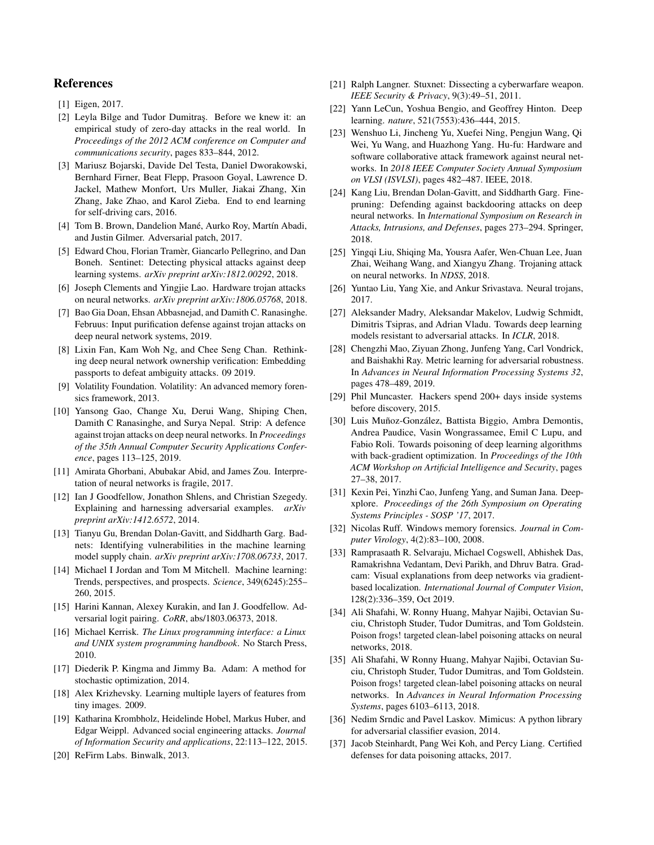## References

- [1] Eigen, 2017.
- [2] Leyla Bilge and Tudor Dumitraş. Before we knew it: an empirical study of zero-day attacks in the real world. In *Proceedings of the 2012 ACM conference on Computer and communications security*, pages 833–844, 2012.
- [3] Mariusz Bojarski, Davide Del Testa, Daniel Dworakowski, Bernhard Firner, Beat Flepp, Prasoon Goyal, Lawrence D. Jackel, Mathew Monfort, Urs Muller, Jiakai Zhang, Xin Zhang, Jake Zhao, and Karol Zieba. End to end learning for self-driving cars, 2016.
- [4] Tom B. Brown, Dandelion Mané, Aurko Roy, Martín Abadi, and Justin Gilmer. Adversarial patch, 2017.
- [5] Edward Chou, Florian Tramèr, Giancarlo Pellegrino, and Dan Boneh. Sentinet: Detecting physical attacks against deep learning systems. *arXiv preprint arXiv:1812.00292*, 2018.
- [6] Joseph Clements and Yingjie Lao. Hardware trojan attacks on neural networks. *arXiv preprint arXiv:1806.05768*, 2018.
- [7] Bao Gia Doan, Ehsan Abbasnejad, and Damith C. Ranasinghe. Februus: Input purification defense against trojan attacks on deep neural network systems, 2019.
- [8] Lixin Fan, Kam Woh Ng, and Chee Seng Chan. Rethinking deep neural network ownership verification: Embedding passports to defeat ambiguity attacks. 09 2019.
- [9] Volatility Foundation. Volatility: An advanced memory forensics framework, 2013.
- [10] Yansong Gao, Change Xu, Derui Wang, Shiping Chen, Damith C Ranasinghe, and Surya Nepal. Strip: A defence against trojan attacks on deep neural networks. In *Proceedings of the 35th Annual Computer Security Applications Conference*, pages 113–125, 2019.
- [11] Amirata Ghorbani, Abubakar Abid, and James Zou. Interpretation of neural networks is fragile, 2017.
- [12] Ian J Goodfellow, Jonathon Shlens, and Christian Szegedy. Explaining and harnessing adversarial examples. *arXiv preprint arXiv:1412.6572*, 2014.
- [13] Tianyu Gu, Brendan Dolan-Gavitt, and Siddharth Garg. Badnets: Identifying vulnerabilities in the machine learning model supply chain. *arXiv preprint arXiv:1708.06733*, 2017.
- [14] Michael I Jordan and Tom M Mitchell. Machine learning: Trends, perspectives, and prospects. *Science*, 349(6245):255– 260, 2015.
- [15] Harini Kannan, Alexey Kurakin, and Ian J. Goodfellow. Adversarial logit pairing. *CoRR*, abs/1803.06373, 2018.
- [16] Michael Kerrisk. *The Linux programming interface: a Linux and UNIX system programming handbook*. No Starch Press, 2010.
- [17] Diederik P. Kingma and Jimmy Ba. Adam: A method for stochastic optimization, 2014.
- [18] Alex Krizhevsky. Learning multiple layers of features from tiny images. 2009.
- [19] Katharina Krombholz, Heidelinde Hobel, Markus Huber, and Edgar Weippl. Advanced social engineering attacks. *Journal of Information Security and applications*, 22:113–122, 2015.
- [20] ReFirm Labs. Binwalk, 2013.
- [21] Ralph Langner. Stuxnet: Dissecting a cyberwarfare weapon. *IEEE Security & Privacy*, 9(3):49–51, 2011.
- [22] Yann LeCun, Yoshua Bengio, and Geoffrey Hinton. Deep learning. *nature*, 521(7553):436–444, 2015.
- [23] Wenshuo Li, Jincheng Yu, Xuefei Ning, Pengjun Wang, Qi Wei, Yu Wang, and Huazhong Yang. Hu-fu: Hardware and software collaborative attack framework against neural networks. In *2018 IEEE Computer Society Annual Symposium on VLSI (ISVLSI)*, pages 482–487. IEEE, 2018.
- [24] Kang Liu, Brendan Dolan-Gavitt, and Siddharth Garg. Finepruning: Defending against backdooring attacks on deep neural networks. In *International Symposium on Research in Attacks, Intrusions, and Defenses*, pages 273–294. Springer, 2018.
- [25] Yingqi Liu, Shiqing Ma, Yousra Aafer, Wen-Chuan Lee, Juan Zhai, Weihang Wang, and Xiangyu Zhang. Trojaning attack on neural networks. In *NDSS*, 2018.
- [26] Yuntao Liu, Yang Xie, and Ankur Srivastava. Neural trojans, 2017.
- [27] Aleksander Madry, Aleksandar Makelov, Ludwig Schmidt, Dimitris Tsipras, and Adrian Vladu. Towards deep learning models resistant to adversarial attacks. In *ICLR*, 2018.
- [28] Chengzhi Mao, Ziyuan Zhong, Junfeng Yang, Carl Vondrick, and Baishakhi Ray. Metric learning for adversarial robustness. In *Advances in Neural Information Processing Systems 32*, pages 478–489, 2019.
- [29] Phil Muncaster. Hackers spend 200+ days inside systems before discovery, 2015.
- [30] Luis Muñoz-González, Battista Biggio, Ambra Demontis, Andrea Paudice, Vasin Wongrassamee, Emil C Lupu, and Fabio Roli. Towards poisoning of deep learning algorithms with back-gradient optimization. In *Proceedings of the 10th ACM Workshop on Artificial Intelligence and Security*, pages 27–38, 2017.
- [31] Kexin Pei, Yinzhi Cao, Junfeng Yang, and Suman Jana. Deepxplore. *Proceedings of the 26th Symposium on Operating Systems Principles - SOSP '17*, 2017.
- [32] Nicolas Ruff. Windows memory forensics. *Journal in Computer Virology*, 4(2):83–100, 2008.
- [33] Ramprasaath R. Selvaraju, Michael Cogswell, Abhishek Das, Ramakrishna Vedantam, Devi Parikh, and Dhruv Batra. Gradcam: Visual explanations from deep networks via gradientbased localization. *International Journal of Computer Vision*, 128(2):336–359, Oct 2019.
- [34] Ali Shafahi, W. Ronny Huang, Mahyar Najibi, Octavian Suciu, Christoph Studer, Tudor Dumitras, and Tom Goldstein. Poison frogs! targeted clean-label poisoning attacks on neural networks, 2018.
- [35] Ali Shafahi, W Ronny Huang, Mahyar Najibi, Octavian Suciu, Christoph Studer, Tudor Dumitras, and Tom Goldstein. Poison frogs! targeted clean-label poisoning attacks on neural networks. In *Advances in Neural Information Processing Systems*, pages 6103–6113, 2018.
- [36] Nedim Srndic and Pavel Laskov. Mimicus: A python library for adversarial classifier evasion, 2014.
- [37] Jacob Steinhardt, Pang Wei Koh, and Percy Liang. Certified defenses for data poisoning attacks, 2017.